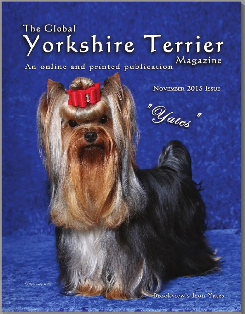## The Global Yorkshire Terrier An online and printed publication Magazine

NOVEMBER 2015 ISSUE

"Yates"

(C) Phillis Early 2015

**Brookview's Iron Yates** 

The company of the property of the state and the state of the state of the state of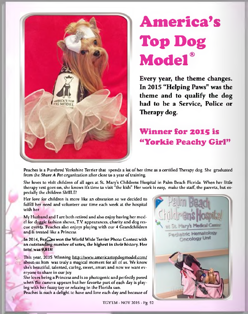

## **America's Top Dog Model®**

Every year, the theme changes. In 2015 "Helping Paws" was the theme and to qualify the dog had to be a Service, Police or Therapy dog.

## **Winner for 2015 is " Yorkie Peachy Girl"**

Peaches is a Purebred Yorkshire Terrier thal spends a lot of her time as a certified Therapy dog. She graduated from the Share *A Pet* organization after close to a year of training.

She loves to visit children of all ages at St\_ Mary's Childrens Hospital in Palm Beach Florida. When her little therapy vest goes on, she knows it's Lime to visit "the kids". Her work is easy, make the staff, the parents, but especially the children SMILE!

Her love for children is more like an obsession so we decided to fulfill her need and volunteer our time each week at the hospital with her.

My Husband and I are both retired and also enjoy having her model for doggie lashion shows, T.V. appearances, charity and dog rescue events. Peaches also enjoys playing with our 4 Grandchildren and is treated like a Princess.

In 2014, Pea<sup>2</sup>es won the World Wide Terrier Photo Contest with an outstanding number of votes, the highest in their history. Her total was 9,8181

This year, 2015 Winning http://www.americastopdogmodel.com/ about-us.htm was truly a magical moment for all of us. We know she's beautiful, talented, caring, sweet, smarL and now we want everyone to share in our joy.

She loves being a Princess and is so photogenic and perfectly posed when the camera appears but her favorite part of each day is playing with her fuzzy toy or relaxing in the Florida sun.

Peaches is such a delight to have and love each day and because of



TGYTM - NOV 2015 - Pg. 52